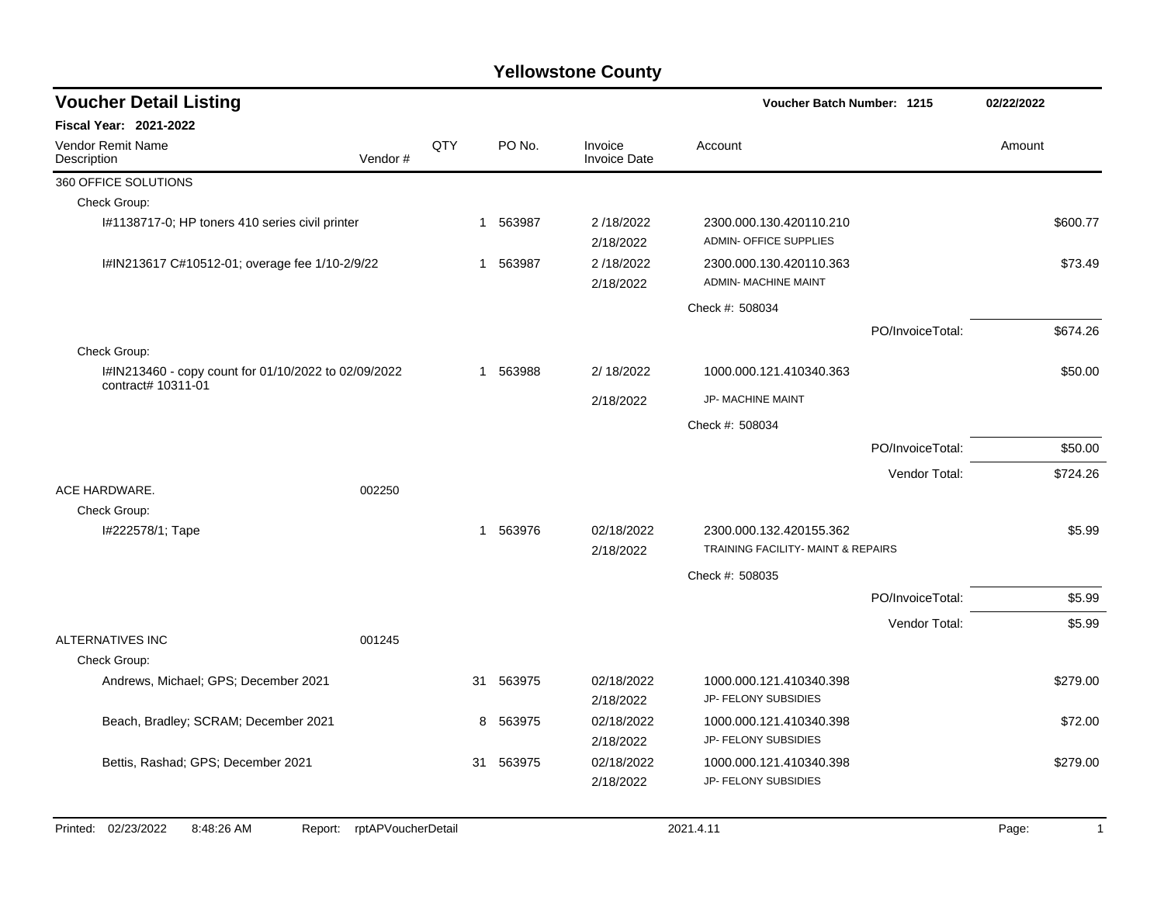| <b>Voucher Detail Listing</b>                                              |                               |     |           |                         |                                                               | <b>Voucher Batch Number: 1215</b> |          |              |
|----------------------------------------------------------------------------|-------------------------------|-----|-----------|-------------------------|---------------------------------------------------------------|-----------------------------------|----------|--------------|
| Fiscal Year: 2021-2022                                                     |                               |     |           |                         |                                                               |                                   |          |              |
| Vendor Remit Name<br>Description                                           | Vendor#                       | QTY | PO No.    | Invoice<br>Invoice Date | Account                                                       |                                   | Amount   |              |
| 360 OFFICE SOLUTIONS                                                       |                               |     |           |                         |                                                               |                                   |          |              |
| Check Group:                                                               |                               |     |           |                         |                                                               |                                   |          |              |
| I#1138717-0; HP toners 410 series civil printer                            |                               |     | 1 563987  | 2/18/2022<br>2/18/2022  | 2300.000.130.420110.210<br><b>ADMIN- OFFICE SUPPLIES</b>      |                                   | \$600.77 |              |
| I#IN213617 C#10512-01; overage fee 1/10-2/9/22                             |                               |     | 1 563987  | 2/18/2022<br>2/18/2022  | 2300.000.130.420110.363<br>ADMIN- MACHINE MAINT               |                                   | \$73.49  |              |
|                                                                            |                               |     |           |                         | Check #: 508034                                               |                                   |          |              |
|                                                                            |                               |     |           |                         |                                                               | PO/InvoiceTotal:                  | \$674.26 |              |
| Check Group:                                                               |                               |     |           |                         |                                                               |                                   |          |              |
| I#IN213460 - copy count for 01/10/2022 to 02/09/2022<br>contract# 10311-01 |                               |     | 1 563988  | 2/ 18/2022              | 1000.000.121.410340.363                                       |                                   | \$50.00  |              |
|                                                                            |                               |     |           | 2/18/2022               | JP- MACHINE MAINT                                             |                                   |          |              |
|                                                                            |                               |     |           |                         | Check #: 508034                                               |                                   |          |              |
|                                                                            |                               |     |           |                         |                                                               | PO/InvoiceTotal:                  | \$50.00  |              |
|                                                                            |                               |     |           |                         |                                                               | Vendor Total:                     | \$724.26 |              |
| ACE HARDWARE.                                                              | 002250                        |     |           |                         |                                                               |                                   |          |              |
| Check Group:                                                               |                               |     |           |                         |                                                               |                                   |          |              |
| I#222578/1; Tape                                                           |                               | 1   | 563976    | 02/18/2022<br>2/18/2022 | 2300.000.132.420155.362<br>TRAINING FACILITY- MAINT & REPAIRS |                                   |          | \$5.99       |
|                                                                            |                               |     |           |                         |                                                               |                                   |          |              |
|                                                                            |                               |     |           |                         | Check #: 508035                                               | PO/InvoiceTotal:                  |          | \$5.99       |
|                                                                            |                               |     |           |                         |                                                               |                                   |          |              |
| <b>ALTERNATIVES INC</b>                                                    | 001245                        |     |           |                         |                                                               | Vendor Total:                     |          | \$5.99       |
| Check Group:                                                               |                               |     |           |                         |                                                               |                                   |          |              |
| Andrews, Michael; GPS; December 2021                                       |                               | 31  | 563975    | 02/18/2022<br>2/18/2022 | 1000.000.121.410340.398<br>JP- FELONY SUBSIDIES               |                                   | \$279.00 |              |
| Beach, Bradley; SCRAM; December 2021                                       |                               | 8   | 563975    | 02/18/2022<br>2/18/2022 | 1000.000.121.410340.398<br>JP- FELONY SUBSIDIES               |                                   | \$72.00  |              |
| Bettis, Rashad; GPS; December 2021                                         |                               |     | 31 563975 | 02/18/2022<br>2/18/2022 | 1000.000.121.410340.398<br>JP- FELONY SUBSIDIES               |                                   | \$279.00 |              |
| Printed: 02/23/2022<br>8:48:26 AM                                          | rptAPVoucherDetail<br>Report: |     |           |                         | 2021.4.11                                                     |                                   | Page:    | $\mathbf{1}$ |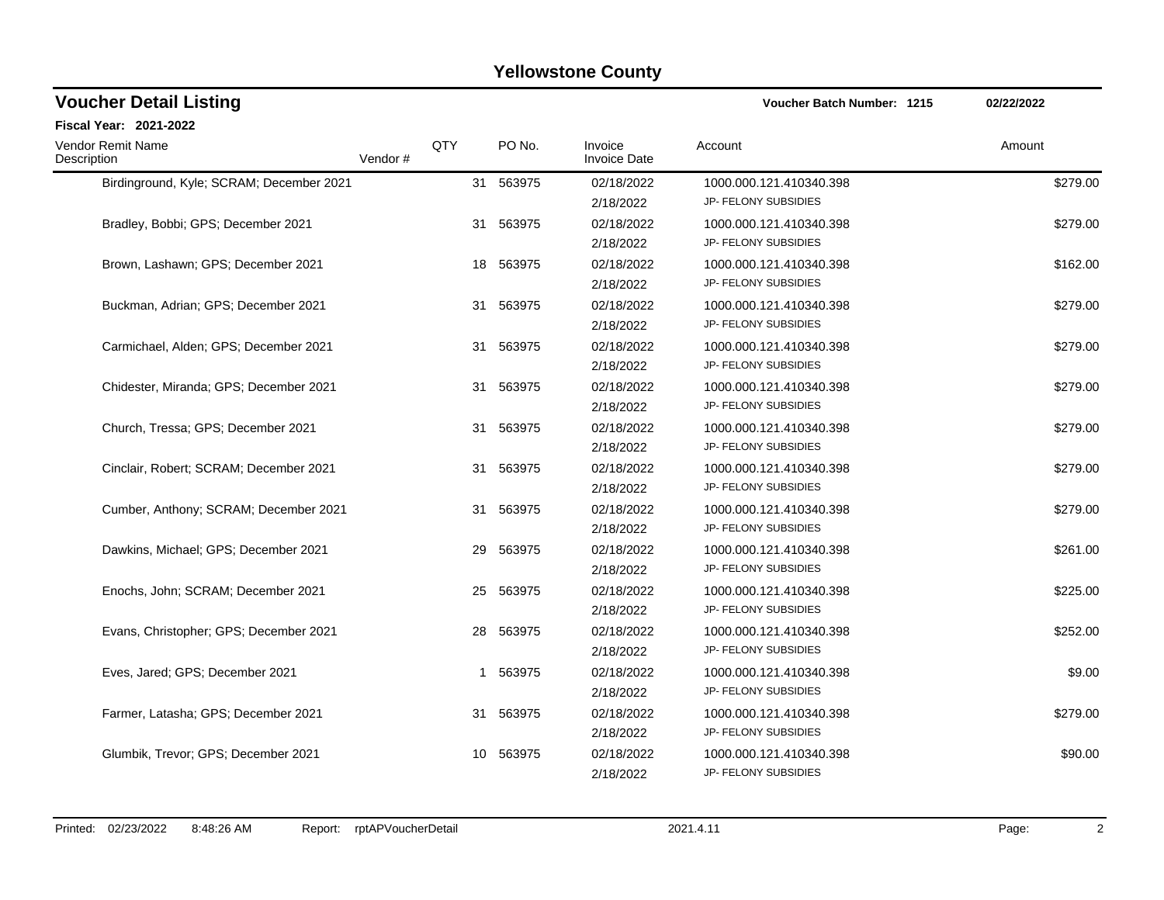| <b>Voucher Detail Listing</b>            |         | <b>Voucher Batch Number: 1215</b> | 02/22/2022 |                                |                                                 |          |
|------------------------------------------|---------|-----------------------------------|------------|--------------------------------|-------------------------------------------------|----------|
| Fiscal Year: 2021-2022                   |         |                                   |            |                                |                                                 |          |
| <b>Vendor Remit Name</b><br>Description  | Vendor# | QTY                               | PO No.     | Invoice<br><b>Invoice Date</b> | Account                                         | Amount   |
| Birdinground, Kyle; SCRAM; December 2021 |         |                                   | 31 563975  | 02/18/2022<br>2/18/2022        | 1000.000.121.410340.398<br>JP- FELONY SUBSIDIES | \$279.00 |
| Bradley, Bobbi; GPS; December 2021       |         | 31                                | 563975     | 02/18/2022<br>2/18/2022        | 1000.000.121.410340.398<br>JP- FELONY SUBSIDIES | \$279.00 |
| Brown, Lashawn; GPS; December 2021       |         | 18                                | 563975     | 02/18/2022<br>2/18/2022        | 1000.000.121.410340.398<br>JP- FELONY SUBSIDIES | \$162.00 |
| Buckman, Adrian; GPS; December 2021      |         | 31                                | 563975     | 02/18/2022<br>2/18/2022        | 1000.000.121.410340.398<br>JP- FELONY SUBSIDIES | \$279.00 |
| Carmichael, Alden; GPS; December 2021    |         |                                   | 31 563975  | 02/18/2022<br>2/18/2022        | 1000.000.121.410340.398<br>JP- FELONY SUBSIDIES | \$279.00 |
| Chidester, Miranda; GPS; December 2021   |         | 31                                | 563975     | 02/18/2022<br>2/18/2022        | 1000.000.121.410340.398<br>JP- FELONY SUBSIDIES | \$279.00 |
| Church, Tressa; GPS; December 2021       |         |                                   | 31 563975  | 02/18/2022<br>2/18/2022        | 1000.000.121.410340.398<br>JP- FELONY SUBSIDIES | \$279.00 |
| Cinclair, Robert; SCRAM; December 2021   |         |                                   | 31 563975  | 02/18/2022<br>2/18/2022        | 1000.000.121.410340.398<br>JP- FELONY SUBSIDIES | \$279.00 |
| Cumber, Anthony; SCRAM; December 2021    |         |                                   | 31 563975  | 02/18/2022<br>2/18/2022        | 1000.000.121.410340.398<br>JP- FELONY SUBSIDIES | \$279.00 |
| Dawkins, Michael: GPS: December 2021     |         | 29                                | 563975     | 02/18/2022<br>2/18/2022        | 1000.000.121.410340.398<br>JP- FELONY SUBSIDIES | \$261.00 |
| Enochs, John; SCRAM; December 2021       |         |                                   | 25 563975  | 02/18/2022<br>2/18/2022        | 1000.000.121.410340.398<br>JP- FELONY SUBSIDIES | \$225.00 |
| Evans, Christopher; GPS; December 2021   |         | 28                                | 563975     | 02/18/2022<br>2/18/2022        | 1000.000.121.410340.398<br>JP- FELONY SUBSIDIES | \$252.00 |
| Eves, Jared; GPS; December 2021          |         | 1                                 | 563975     | 02/18/2022<br>2/18/2022        | 1000.000.121.410340.398<br>JP- FELONY SUBSIDIES | \$9.00   |
| Farmer, Latasha; GPS; December 2021      |         | 31                                | 563975     | 02/18/2022<br>2/18/2022        | 1000.000.121.410340.398<br>JP- FELONY SUBSIDIES | \$279.00 |
| Glumbik, Trevor; GPS; December 2021      |         | 10                                | 563975     | 02/18/2022<br>2/18/2022        | 1000.000.121.410340.398<br>JP- FELONY SUBSIDIES | \$90.00  |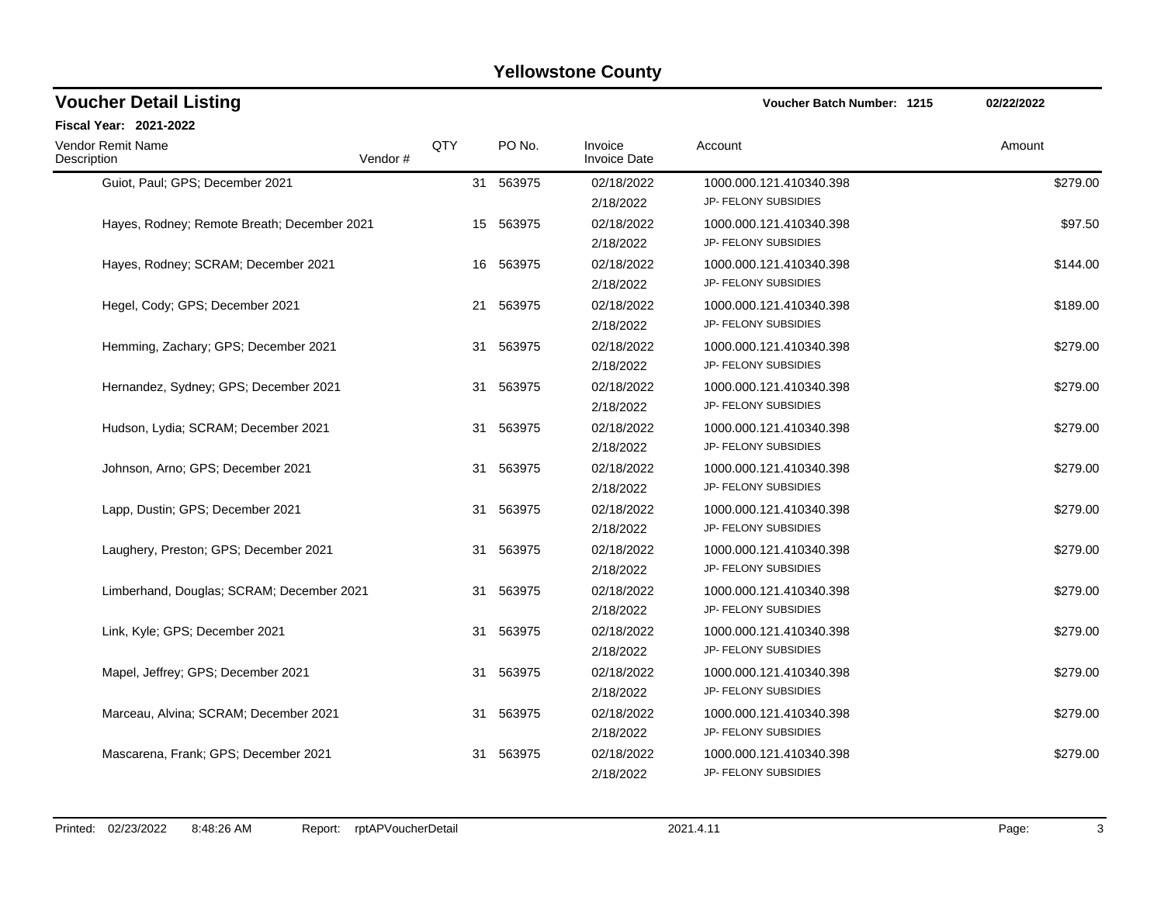| <b>Voucher Detail Listing</b>               |         | <b>Voucher Batch Number: 1215</b> | 02/22/2022 |                                |                                                 |          |
|---------------------------------------------|---------|-----------------------------------|------------|--------------------------------|-------------------------------------------------|----------|
| Fiscal Year: 2021-2022                      |         |                                   |            |                                |                                                 |          |
| <b>Vendor Remit Name</b><br>Description     | Vendor# | QTY                               | PO No.     | Invoice<br><b>Invoice Date</b> | Account                                         | Amount   |
| Guiot, Paul; GPS; December 2021             |         |                                   | 31 563975  | 02/18/2022<br>2/18/2022        | 1000.000.121.410340.398<br>JP- FELONY SUBSIDIES | \$279.00 |
| Hayes, Rodney; Remote Breath; December 2021 |         | 15                                | 563975     | 02/18/2022<br>2/18/2022        | 1000.000.121.410340.398<br>JP- FELONY SUBSIDIES | \$97.50  |
| Hayes, Rodney; SCRAM; December 2021         |         | 16                                | 563975     | 02/18/2022<br>2/18/2022        | 1000.000.121.410340.398<br>JP- FELONY SUBSIDIES | \$144.00 |
| Hegel, Cody; GPS; December 2021             |         | 21                                | 563975     | 02/18/2022<br>2/18/2022        | 1000.000.121.410340.398<br>JP- FELONY SUBSIDIES | \$189.00 |
| Hemming, Zachary; GPS; December 2021        |         |                                   | 31 563975  | 02/18/2022<br>2/18/2022        | 1000.000.121.410340.398<br>JP- FELONY SUBSIDIES | \$279.00 |
| Hernandez, Sydney; GPS; December 2021       |         | 31                                | 563975     | 02/18/2022<br>2/18/2022        | 1000.000.121.410340.398<br>JP- FELONY SUBSIDIES | \$279.00 |
| Hudson, Lydia; SCRAM; December 2021         |         |                                   | 31 563975  | 02/18/2022<br>2/18/2022        | 1000.000.121.410340.398<br>JP- FELONY SUBSIDIES | \$279.00 |
| Johnson, Arno; GPS; December 2021           |         |                                   | 31 563975  | 02/18/2022<br>2/18/2022        | 1000.000.121.410340.398<br>JP- FELONY SUBSIDIES | \$279.00 |
| Lapp, Dustin; GPS; December 2021            |         |                                   | 31 563975  | 02/18/2022<br>2/18/2022        | 1000.000.121.410340.398<br>JP- FELONY SUBSIDIES | \$279.00 |
| Laughery, Preston; GPS; December 2021       |         |                                   | 31 563975  | 02/18/2022<br>2/18/2022        | 1000.000.121.410340.398<br>JP- FELONY SUBSIDIES | \$279.00 |
| Limberhand, Douglas; SCRAM; December 2021   |         |                                   | 31 563975  | 02/18/2022<br>2/18/2022        | 1000.000.121.410340.398<br>JP- FELONY SUBSIDIES | \$279.00 |
| Link, Kyle; GPS; December 2021              |         |                                   | 31 563975  | 02/18/2022<br>2/18/2022        | 1000.000.121.410340.398<br>JP- FELONY SUBSIDIES | \$279.00 |
| Mapel, Jeffrey; GPS; December 2021          |         | 31                                | 563975     | 02/18/2022<br>2/18/2022        | 1000.000.121.410340.398<br>JP- FELONY SUBSIDIES | \$279.00 |
| Marceau, Alvina; SCRAM; December 2021       |         | 31                                | 563975     | 02/18/2022<br>2/18/2022        | 1000.000.121.410340.398<br>JP- FELONY SUBSIDIES | \$279.00 |
| Mascarena, Frank: GPS; December 2021        |         | 31                                | 563975     | 02/18/2022<br>2/18/2022        | 1000.000.121.410340.398<br>JP- FELONY SUBSIDIES | \$279.00 |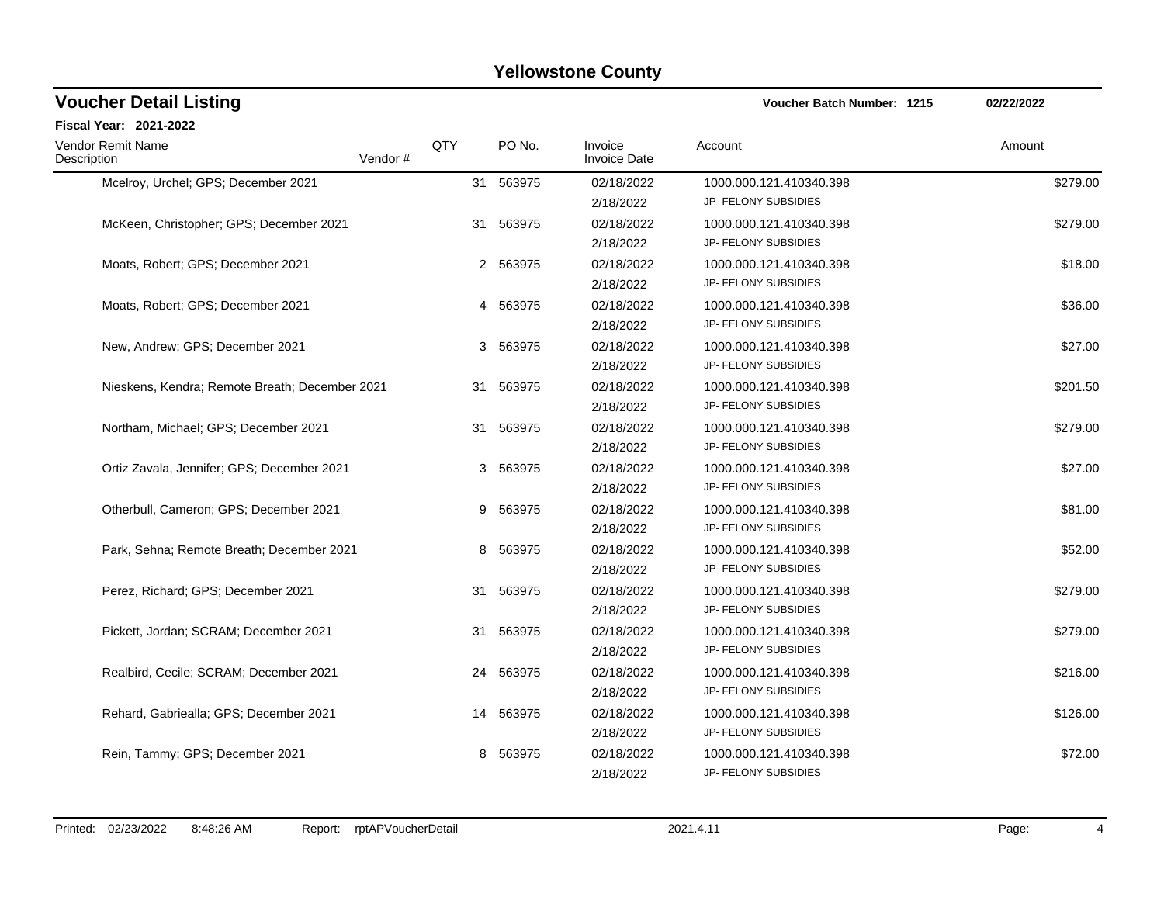| <b>Voucher Detail Listing</b>                  |         | <b>Voucher Batch Number: 1215</b> | 02/22/2022 |                                |                                                        |          |
|------------------------------------------------|---------|-----------------------------------|------------|--------------------------------|--------------------------------------------------------|----------|
| Fiscal Year: 2021-2022                         |         |                                   |            |                                |                                                        |          |
| <b>Vendor Remit Name</b><br>Description        | Vendor# | QTY                               | PO No.     | Invoice<br><b>Invoice Date</b> | Account                                                | Amount   |
| Mcelroy, Urchel; GPS; December 2021            |         |                                   | 31 563975  | 02/18/2022<br>2/18/2022        | 1000.000.121.410340.398<br>JP- FELONY SUBSIDIES        | \$279.00 |
| McKeen, Christopher; GPS; December 2021        |         | 31                                | 563975     | 02/18/2022<br>2/18/2022        | 1000.000.121.410340.398<br>JP- FELONY SUBSIDIES        | \$279.00 |
| Moats, Robert; GPS; December 2021              |         |                                   | 2 563975   | 02/18/2022<br>2/18/2022        | 1000.000.121.410340.398<br>JP- FELONY SUBSIDIES        | \$18.00  |
| Moats, Robert; GPS; December 2021              |         |                                   | 4 563975   | 02/18/2022<br>2/18/2022        | 1000.000.121.410340.398<br>JP- FELONY SUBSIDIES        | \$36.00  |
| New, Andrew; GPS; December 2021                |         |                                   | 3 563975   | 02/18/2022<br>2/18/2022        | 1000.000.121.410340.398<br>JP- FELONY SUBSIDIES        | \$27.00  |
| Nieskens, Kendra; Remote Breath; December 2021 |         | 31                                | 563975     | 02/18/2022<br>2/18/2022        | 1000.000.121.410340.398<br>JP- FELONY SUBSIDIES        | \$201.50 |
| Northam, Michael; GPS; December 2021           |         |                                   | 31 563975  | 02/18/2022<br>2/18/2022        | 1000.000.121.410340.398<br>JP- FELONY SUBSIDIES        | \$279.00 |
| Ortiz Zavala, Jennifer; GPS; December 2021     |         |                                   | 3 563975   | 02/18/2022<br>2/18/2022        | 1000.000.121.410340.398<br>JP- FELONY SUBSIDIES        | \$27.00  |
| Otherbull, Cameron; GPS; December 2021         |         | 9                                 | 563975     | 02/18/2022<br>2/18/2022        | 1000.000.121.410340.398<br>JP- FELONY SUBSIDIES        | \$81.00  |
| Park, Sehna; Remote Breath; December 2021      |         | 8                                 | 563975     | 02/18/2022<br>2/18/2022        | 1000.000.121.410340.398<br>JP- FELONY SUBSIDIES        | \$52.00  |
| Perez, Richard; GPS; December 2021             |         |                                   | 31 563975  | 02/18/2022<br>2/18/2022        | 1000.000.121.410340.398<br>JP- FELONY SUBSIDIES        | \$279.00 |
| Pickett, Jordan; SCRAM; December 2021          |         |                                   | 31 563975  | 02/18/2022<br>2/18/2022        | 1000.000.121.410340.398<br>JP- FELONY SUBSIDIES        | \$279.00 |
| Realbird, Cecile; SCRAM; December 2021         |         | 24                                | 563975     | 02/18/2022<br>2/18/2022        | 1000.000.121.410340.398<br>JP- FELONY SUBSIDIES        | \$216.00 |
| Rehard, Gabriealla; GPS; December 2021         |         | 14                                | 563975     | 02/18/2022<br>2/18/2022        | 1000.000.121.410340.398<br>JP- FELONY SUBSIDIES        | \$126.00 |
| Rein, Tammy; GPS; December 2021                |         | 8                                 | 563975     | 02/18/2022<br>2/18/2022        | 1000.000.121.410340.398<br><b>JP- FELONY SUBSIDIES</b> | \$72.00  |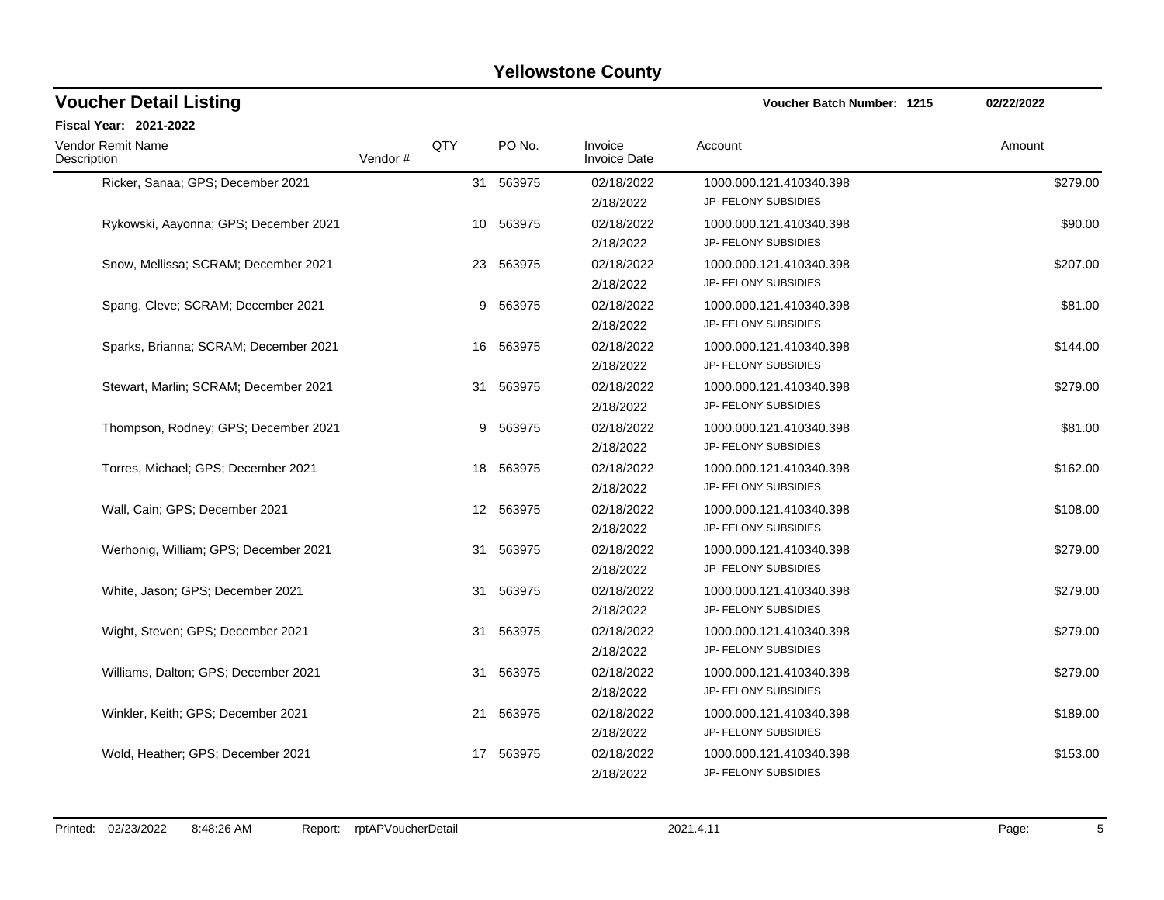| <b>Voucher Detail Listing</b>           |         |     |           |                                | <b>Voucher Batch Number: 1215</b>               | 02/22/2022 |
|-----------------------------------------|---------|-----|-----------|--------------------------------|-------------------------------------------------|------------|
| Fiscal Year: 2021-2022                  |         |     |           |                                |                                                 |            |
| <b>Vendor Remit Name</b><br>Description | Vendor# | QTY | PO No.    | Invoice<br><b>Invoice Date</b> | Account                                         | Amount     |
| Ricker, Sanaa; GPS; December 2021       |         |     | 31 563975 | 02/18/2022<br>2/18/2022        | 1000.000.121.410340.398<br>JP- FELONY SUBSIDIES | \$279.00   |
| Rykowski, Aayonna; GPS; December 2021   |         | 10  | 563975    | 02/18/2022<br>2/18/2022        | 1000.000.121.410340.398<br>JP- FELONY SUBSIDIES | \$90.00    |
| Snow, Mellissa; SCRAM; December 2021    |         |     | 23 563975 | 02/18/2022<br>2/18/2022        | 1000.000.121.410340.398<br>JP- FELONY SUBSIDIES | \$207.00   |
| Spang, Cleve; SCRAM; December 2021      |         |     | 9 563975  | 02/18/2022<br>2/18/2022        | 1000.000.121.410340.398<br>JP- FELONY SUBSIDIES | \$81.00    |
| Sparks, Brianna; SCRAM; December 2021   |         |     | 16 563975 | 02/18/2022<br>2/18/2022        | 1000.000.121.410340.398<br>JP- FELONY SUBSIDIES | \$144.00   |
| Stewart, Marlin; SCRAM; December 2021   |         | 31  | 563975    | 02/18/2022<br>2/18/2022        | 1000.000.121.410340.398<br>JP- FELONY SUBSIDIES | \$279.00   |
| Thompson, Rodney; GPS; December 2021    |         |     | 9 563975  | 02/18/2022<br>2/18/2022        | 1000.000.121.410340.398<br>JP- FELONY SUBSIDIES | \$81.00    |
| Torres, Michael; GPS; December 2021     |         |     | 18 563975 | 02/18/2022<br>2/18/2022        | 1000.000.121.410340.398<br>JP- FELONY SUBSIDIES | \$162.00   |
| Wall, Cain; GPS; December 2021          |         |     | 12 563975 | 02/18/2022<br>2/18/2022        | 1000.000.121.410340.398<br>JP- FELONY SUBSIDIES | \$108.00   |
| Werhonig, William; GPS; December 2021   |         | 31  | 563975    | 02/18/2022<br>2/18/2022        | 1000.000.121.410340.398<br>JP- FELONY SUBSIDIES | \$279.00   |
| White, Jason; GPS; December 2021        |         |     | 31 563975 | 02/18/2022<br>2/18/2022        | 1000.000.121.410340.398<br>JP- FELONY SUBSIDIES | \$279.00   |
| Wight, Steven; GPS; December 2021       |         | 31  | 563975    | 02/18/2022<br>2/18/2022        | 1000.000.121.410340.398<br>JP- FELONY SUBSIDIES | \$279.00   |
| Williams, Dalton; GPS; December 2021    |         | 31  | 563975    | 02/18/2022<br>2/18/2022        | 1000.000.121.410340.398<br>JP- FELONY SUBSIDIES | \$279.00   |
| Winkler, Keith; GPS; December 2021      |         | 21  | 563975    | 02/18/2022<br>2/18/2022        | 1000.000.121.410340.398<br>JP- FELONY SUBSIDIES | \$189.00   |
| Wold, Heather; GPS; December 2021       |         | 17  | 563975    | 02/18/2022<br>2/18/2022        | 1000.000.121.410340.398<br>JP- FELONY SUBSIDIES | \$153.00   |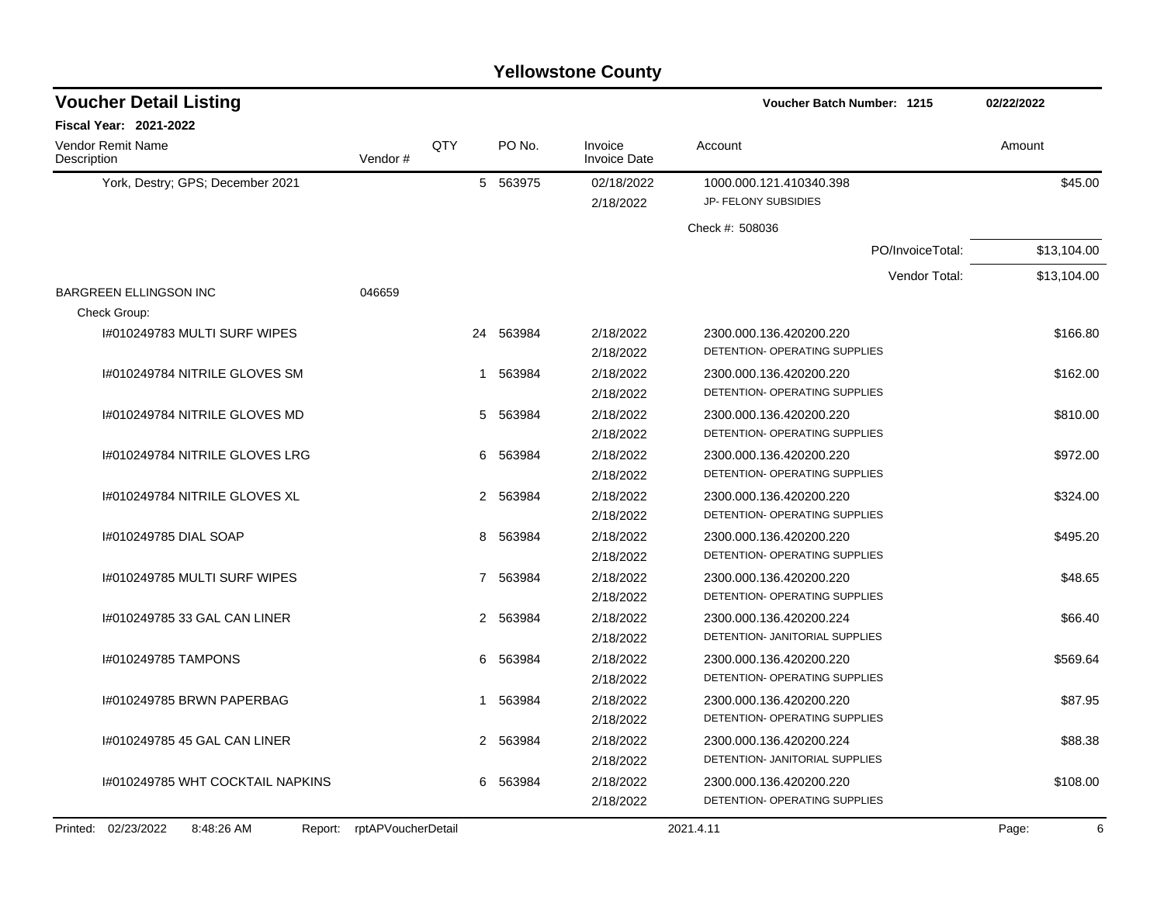| <b>Voucher Detail Listing</b>                   |                    |                      |           |                                | Voucher Batch Number: 1215                                | 02/22/2022  |
|-------------------------------------------------|--------------------|----------------------|-----------|--------------------------------|-----------------------------------------------------------|-------------|
| Fiscal Year: 2021-2022                          |                    |                      |           |                                |                                                           |             |
| Vendor Remit Name<br>Description                | Vendor#            | QTY                  | PO No.    | Invoice<br><b>Invoice Date</b> | Account                                                   | Amount      |
| York, Destry; GPS; December 2021                |                    |                      | 5 563975  | 02/18/2022                     | 1000.000.121.410340.398                                   | \$45.00     |
|                                                 |                    |                      |           | 2/18/2022                      | JP- FELONY SUBSIDIES                                      |             |
|                                                 |                    |                      |           |                                | Check #: 508036                                           |             |
|                                                 |                    |                      |           |                                | PO/InvoiceTotal:                                          | \$13,104.00 |
|                                                 |                    |                      |           |                                | Vendor Total:                                             | \$13,104.00 |
| <b>BARGREEN ELLINGSON INC</b><br>Check Group:   | 046659             |                      |           |                                |                                                           |             |
| 1#010249783 MULTI SURF WIPES                    |                    |                      | 24 563984 | 2/18/2022                      | 2300.000.136.420200.220                                   | \$166.80    |
|                                                 |                    |                      |           | 2/18/2022                      | DETENTION- OPERATING SUPPLIES                             |             |
| I#010249784 NITRILE GLOVES SM                   |                    | 1                    | 563984    | 2/18/2022                      | 2300.000.136.420200.220                                   | \$162.00    |
|                                                 |                    |                      |           | 2/18/2022                      | DETENTION- OPERATING SUPPLIES                             |             |
| 1#010249784 NITRILE GLOVES MD                   |                    | 5                    | 563984    | 2/18/2022                      | 2300.000.136.420200.220                                   | \$810.00    |
|                                                 |                    |                      |           | 2/18/2022                      | DETENTION- OPERATING SUPPLIES                             |             |
| 1#010249784 NITRILE GLOVES LRG                  |                    | 6                    | 563984    | 2/18/2022                      | 2300.000.136.420200.220                                   | \$972.00    |
|                                                 |                    |                      |           | 2/18/2022                      | DETENTION- OPERATING SUPPLIES                             |             |
| I#010249784 NITRILE GLOVES XL                   |                    | $\mathbf{2}^{\circ}$ | 563984    | 2/18/2022                      | 2300.000.136.420200.220                                   | \$324.00    |
|                                                 |                    |                      |           | 2/18/2022                      | DETENTION- OPERATING SUPPLIES                             |             |
| 1#010249785 DIAL SOAP                           |                    | 8                    | 563984    | 2/18/2022                      | 2300.000.136.420200.220                                   | \$495.20    |
|                                                 |                    |                      |           | 2/18/2022                      | DETENTION- OPERATING SUPPLIES                             |             |
| I#010249785 MULTI SURF WIPES                    |                    | 7                    | 563984    | 2/18/2022                      | 2300.000.136.420200.220                                   | \$48.65     |
|                                                 |                    |                      |           | 2/18/2022                      | DETENTION- OPERATING SUPPLIES                             |             |
| 1#010249785 33 GAL CAN LINER                    |                    | 2                    | 563984    | 2/18/2022                      | 2300.000.136.420200.224                                   | \$66.40     |
|                                                 |                    |                      |           | 2/18/2022                      | DETENTION- JANITORIAL SUPPLIES                            |             |
| I#010249785 TAMPONS                             |                    | 6                    | 563984    | 2/18/2022                      | 2300.000.136.420200.220                                   | \$569.64    |
|                                                 |                    |                      |           | 2/18/2022                      | DETENTION- OPERATING SUPPLIES                             |             |
| 1#010249785 BRWN PAPERBAG                       |                    | 1                    | 563984    | 2/18/2022                      | 2300.000.136.420200.220                                   | \$87.95     |
|                                                 |                    |                      |           | 2/18/2022                      | DETENTION- OPERATING SUPPLIES                             |             |
| 1#010249785 45 GAL CAN LINER                    |                    |                      | 2 563984  | 2/18/2022                      | 2300.000.136.420200.224<br>DETENTION- JANITORIAL SUPPLIES | \$88.38     |
|                                                 |                    |                      |           | 2/18/2022                      |                                                           |             |
| 1#010249785 WHT COCKTAIL NAPKINS                |                    | 6                    | 563984    | 2/18/2022                      | 2300.000.136.420200.220<br>DETENTION- OPERATING SUPPLIES  | \$108.00    |
|                                                 |                    |                      |           | 2/18/2022                      |                                                           |             |
| Printed:<br>02/23/2022<br>8:48:26 AM<br>Report: | rptAPVoucherDetail |                      |           |                                | 2021.4.11                                                 | Page:<br>6  |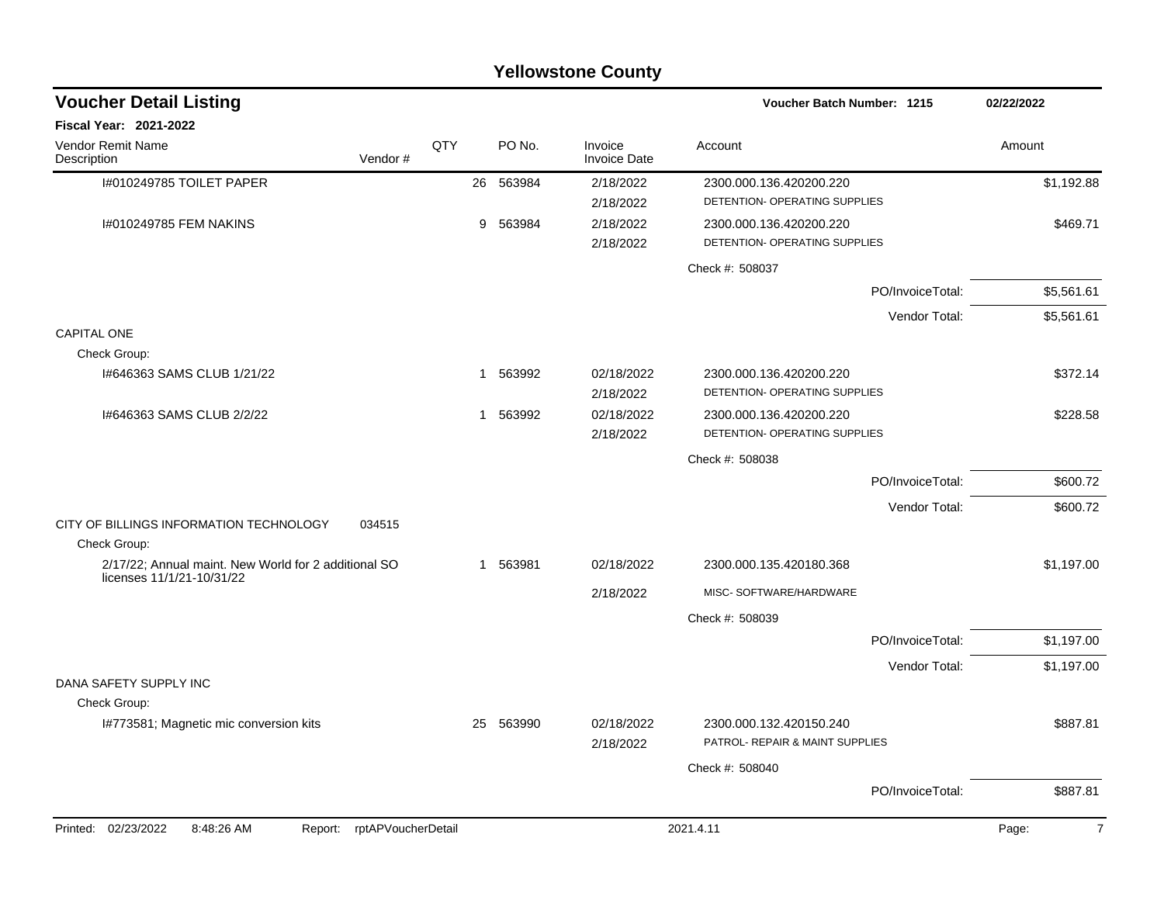| <b>Yellowstone County</b>                                                         |     |             |                                |                                                            |            |  |  |  |  |  |
|-----------------------------------------------------------------------------------|-----|-------------|--------------------------------|------------------------------------------------------------|------------|--|--|--|--|--|
| <b>Voucher Detail Listing</b>                                                     |     |             |                                | <b>Voucher Batch Number: 1215</b>                          | 02/22/2022 |  |  |  |  |  |
| Fiscal Year: 2021-2022                                                            |     |             |                                |                                                            |            |  |  |  |  |  |
| Vendor Remit Name<br>Description<br>Vendor#                                       | QTY | PO No.      | Invoice<br><b>Invoice Date</b> | Account                                                    | Amount     |  |  |  |  |  |
| I#010249785 TOILET PAPER                                                          |     | 26 563984   | 2/18/2022<br>2/18/2022         | 2300.000.136.420200.220<br>DETENTION- OPERATING SUPPLIES   | \$1,192.88 |  |  |  |  |  |
| I#010249785 FEM NAKINS                                                            |     | 9<br>563984 | 2/18/2022<br>2/18/2022         | 2300.000.136.420200.220<br>DETENTION- OPERATING SUPPLIES   | \$469.71   |  |  |  |  |  |
|                                                                                   |     |             |                                | Check #: 508037                                            |            |  |  |  |  |  |
|                                                                                   |     |             |                                | PO/InvoiceTotal:                                           | \$5,561.61 |  |  |  |  |  |
|                                                                                   |     |             |                                | Vendor Total:                                              | \$5,561.61 |  |  |  |  |  |
| <b>CAPITAL ONE</b>                                                                |     |             |                                |                                                            |            |  |  |  |  |  |
| Check Group:                                                                      |     |             |                                |                                                            |            |  |  |  |  |  |
| 1#646363 SAMS CLUB 1/21/22                                                        |     | 563992<br>1 | 02/18/2022<br>2/18/2022        | 2300.000.136.420200.220<br>DETENTION- OPERATING SUPPLIES   | \$372.14   |  |  |  |  |  |
| 1#646363 SAMS CLUB 2/2/22                                                         |     | 563992<br>1 | 02/18/2022                     | 2300.000.136.420200.220                                    | \$228.58   |  |  |  |  |  |
|                                                                                   |     |             | 2/18/2022                      | DETENTION- OPERATING SUPPLIES                              |            |  |  |  |  |  |
|                                                                                   |     |             |                                | Check #: 508038                                            |            |  |  |  |  |  |
|                                                                                   |     |             |                                | PO/InvoiceTotal:                                           | \$600.72   |  |  |  |  |  |
|                                                                                   |     |             |                                | Vendor Total:                                              | \$600.72   |  |  |  |  |  |
| CITY OF BILLINGS INFORMATION TECHNOLOGY<br>034515                                 |     |             |                                |                                                            |            |  |  |  |  |  |
| Check Group:                                                                      |     |             |                                |                                                            |            |  |  |  |  |  |
| 2/17/22; Annual maint. New World for 2 additional SO<br>licenses 11/1/21-10/31/22 |     | 563981<br>1 | 02/18/2022                     | 2300.000.135.420180.368                                    | \$1,197.00 |  |  |  |  |  |
|                                                                                   |     |             | 2/18/2022                      | MISC-SOFTWARE/HARDWARE                                     |            |  |  |  |  |  |
|                                                                                   |     |             |                                | Check #: 508039                                            |            |  |  |  |  |  |
|                                                                                   |     |             |                                | PO/InvoiceTotal:                                           | \$1,197.00 |  |  |  |  |  |
|                                                                                   |     |             |                                | Vendor Total:                                              | \$1,197.00 |  |  |  |  |  |
| DANA SAFETY SUPPLY INC                                                            |     |             |                                |                                                            |            |  |  |  |  |  |
| Check Group:<br>1#773581; Magnetic mic conversion kits                            |     | 25 563990   | 02/18/2022<br>2/18/2022        | 2300.000.132.420150.240<br>PATROL- REPAIR & MAINT SUPPLIES | \$887.81   |  |  |  |  |  |
|                                                                                   |     |             |                                | Check #: 508040                                            |            |  |  |  |  |  |
|                                                                                   |     |             |                                | PO/InvoiceTotal:                                           | \$887.81   |  |  |  |  |  |
| Report: rptAPVoucherDetail<br>Printed: 02/23/2022<br>8:48:26 AM                   |     |             |                                | 2021.4.11                                                  | Page:<br>7 |  |  |  |  |  |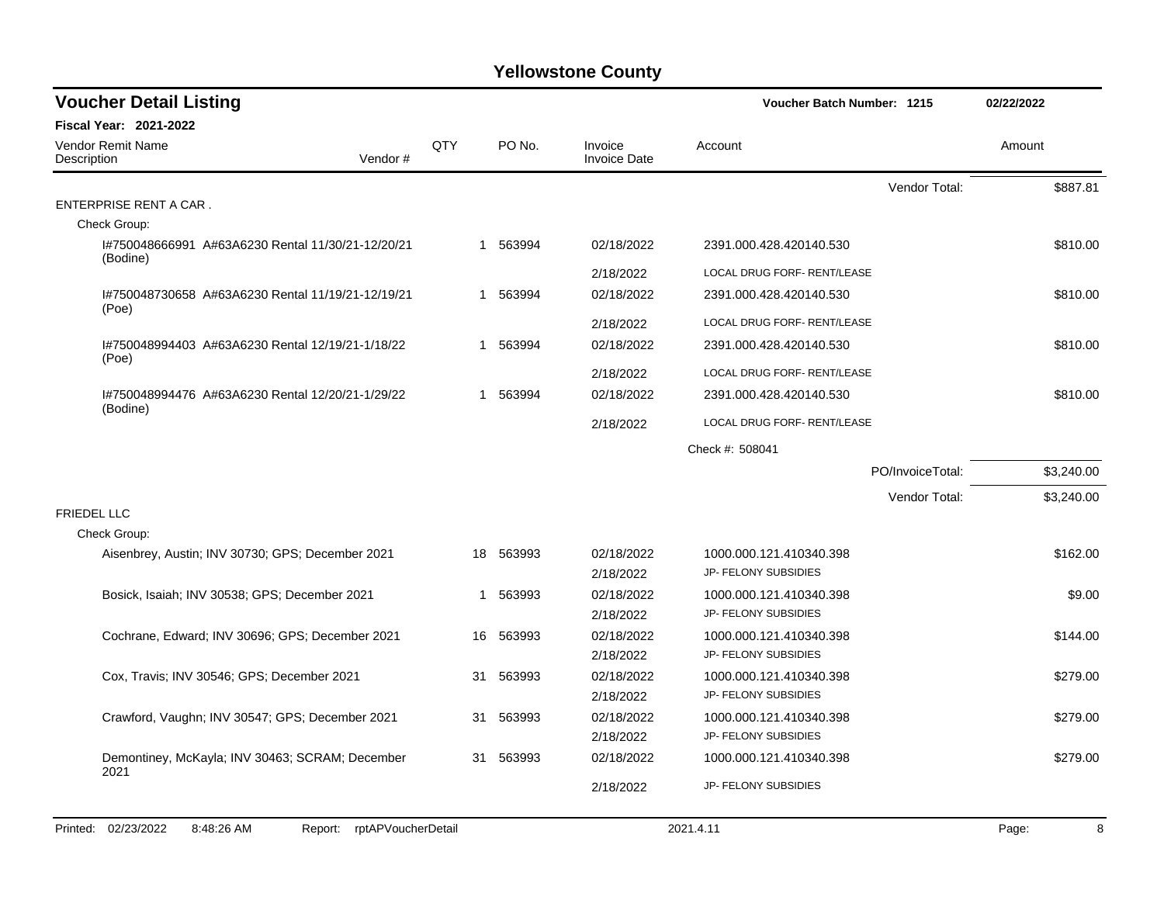| <b>Voucher Detail Listing</b>                                      |     |           |                                | <b>Voucher Batch Number: 1215</b>               | 02/22/2022 |
|--------------------------------------------------------------------|-----|-----------|--------------------------------|-------------------------------------------------|------------|
| <b>Fiscal Year: 2021-2022</b>                                      |     |           |                                |                                                 |            |
| <b>Vendor Remit Name</b><br>Vendor#<br>Description                 | QTY | PO No.    | Invoice<br><b>Invoice Date</b> | Account                                         | Amount     |
|                                                                    |     |           |                                | Vendor Total:                                   | \$887.81   |
| ENTERPRISE RENT A CAR.                                             |     |           |                                |                                                 |            |
| Check Group:                                                       |     |           |                                |                                                 |            |
| I#750048666991 A#63A6230 Rental 11/30/21-12/20/21<br>(Bodine)      |     | 1 563994  | 02/18/2022                     | 2391.000.428.420140.530                         | \$810.00   |
|                                                                    |     |           | 2/18/2022                      | LOCAL DRUG FORF- RENT/LEASE                     |            |
| I#750048730658 A#63A6230 Rental 11/19/21-12/19/21                  |     | 1 563994  | 02/18/2022                     | 2391.000.428.420140.530                         | \$810.00   |
| (Poe)                                                              |     |           | 2/18/2022                      | LOCAL DRUG FORF- RENT/LEASE                     |            |
| I#750048994403 A#63A6230 Rental 12/19/21-1/18/22                   | 1   | 563994    | 02/18/2022                     | 2391.000.428.420140.530                         | \$810.00   |
| (Poe)                                                              |     |           | 2/18/2022                      | LOCAL DRUG FORF- RENT/LEASE                     |            |
| 1#750048994476 A#63A6230 Rental 12/20/21-1/29/22                   | 1   | 563994    | 02/18/2022                     | 2391.000.428.420140.530                         | \$810.00   |
| (Bodine)                                                           |     |           | 2/18/2022                      | LOCAL DRUG FORF- RENT/LEASE                     |            |
|                                                                    |     |           |                                | Check #: 508041                                 |            |
|                                                                    |     |           |                                | PO/InvoiceTotal:                                | \$3,240.00 |
|                                                                    |     |           |                                | Vendor Total:                                   | \$3,240.00 |
| <b>FRIEDEL LLC</b>                                                 |     |           |                                |                                                 |            |
| Check Group:                                                       |     |           |                                |                                                 |            |
| Aisenbrey, Austin; INV 30730; GPS; December 2021                   |     | 18 563993 | 02/18/2022                     | 1000.000.121.410340.398<br>JP- FELONY SUBSIDIES | \$162.00   |
|                                                                    |     |           | 2/18/2022                      |                                                 |            |
| Bosick, Isaiah; INV 30538; GPS; December 2021                      | 1   | 563993    | 02/18/2022<br>2/18/2022        | 1000.000.121.410340.398<br>JP- FELONY SUBSIDIES | \$9.00     |
|                                                                    |     |           |                                |                                                 |            |
| Cochrane, Edward; INV 30696; GPS; December 2021                    | 16  | 563993    | 02/18/2022<br>2/18/2022        | 1000.000.121.410340.398<br>JP- FELONY SUBSIDIES | \$144.00   |
| Cox, Travis; INV 30546; GPS; December 2021                         | 31  | 563993    | 02/18/2022                     | 1000.000.121.410340.398                         | \$279.00   |
|                                                                    |     |           | 2/18/2022                      | JP- FELONY SUBSIDIES                            |            |
| Crawford, Vaughn; INV 30547; GPS; December 2021                    | 31  | 563993    | 02/18/2022                     | 1000.000.121.410340.398                         | \$279.00   |
|                                                                    |     |           | 2/18/2022                      | JP- FELONY SUBSIDIES                            |            |
| Demontiney, McKayla; INV 30463; SCRAM; December<br>2021            | 31  | 563993    | 02/18/2022                     | 1000.000.121.410340.398                         | \$279.00   |
|                                                                    |     |           | 2/18/2022                      | JP- FELONY SUBSIDIES                            |            |
|                                                                    |     |           |                                |                                                 |            |
| Printed: 02/23/2022<br>8:48:26 AM<br>rptAPVoucherDetail<br>Report: |     |           |                                | 2021.4.11                                       | 8<br>Page: |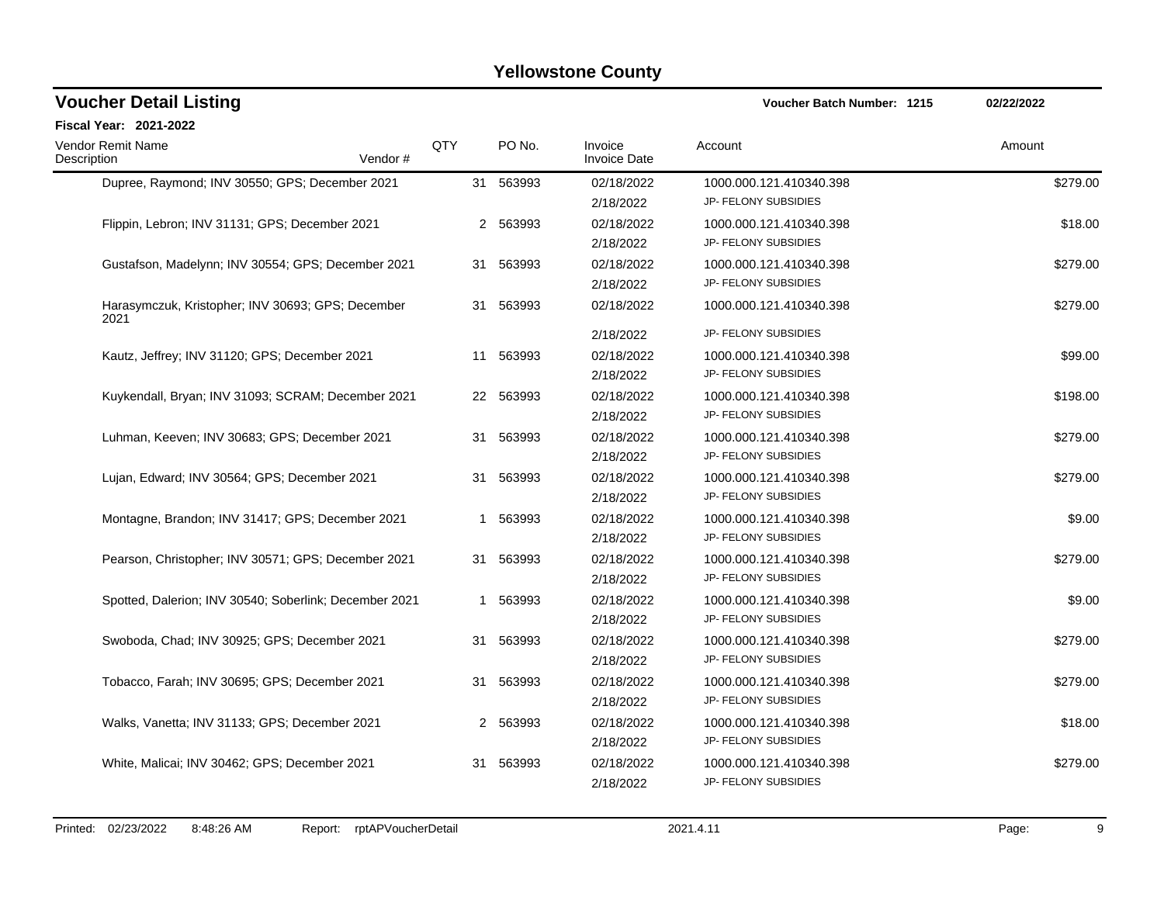| <b>Voucher Detail Listing</b>                             | Voucher Batch Number: 1215 | 02/22/2022  |                                |                         |          |
|-----------------------------------------------------------|----------------------------|-------------|--------------------------------|-------------------------|----------|
| <b>Fiscal Year: 2021-2022</b>                             |                            |             |                                |                         |          |
| <b>Vendor Remit Name</b><br>Description<br>Vendor#        | QTY                        | PO No.      | Invoice<br><b>Invoice Date</b> | Account                 | Amount   |
| Dupree, Raymond; INV 30550; GPS; December 2021            |                            | 31 563993   | 02/18/2022                     | 1000.000.121.410340.398 | \$279.00 |
|                                                           |                            |             | 2/18/2022                      | JP- FELONY SUBSIDIES    |          |
| Flippin, Lebron; INV 31131; GPS; December 2021            |                            | 563993<br>2 | 02/18/2022                     | 1000.000.121.410340.398 | \$18.00  |
|                                                           |                            |             | 2/18/2022                      | JP- FELONY SUBSIDIES    |          |
| Gustafson, Madelynn; INV 30554; GPS; December 2021        |                            | 31 563993   | 02/18/2022                     | 1000.000.121.410340.398 | \$279.00 |
|                                                           |                            |             | 2/18/2022                      | JP- FELONY SUBSIDIES    |          |
| Harasymczuk, Kristopher; INV 30693; GPS; December<br>2021 | 31                         | 563993      | 02/18/2022                     | 1000.000.121.410340.398 | \$279.00 |
|                                                           |                            |             | 2/18/2022                      | JP- FELONY SUBSIDIES    |          |
| Kautz, Jeffrey; INV 31120; GPS; December 2021             | 11                         | 563993      | 02/18/2022                     | 1000.000.121.410340.398 | \$99.00  |
|                                                           |                            |             | 2/18/2022                      | JP- FELONY SUBSIDIES    |          |
| Kuykendall, Bryan; INV 31093; SCRAM; December 2021        |                            | 22 563993   | 02/18/2022                     | 1000.000.121.410340.398 | \$198.00 |
|                                                           |                            |             | 2/18/2022                      | JP- FELONY SUBSIDIES    |          |
| Luhman, Keeven; INV 30683; GPS; December 2021             | 31                         | 563993      | 02/18/2022                     | 1000.000.121.410340.398 | \$279.00 |
|                                                           |                            |             | 2/18/2022                      | JP- FELONY SUBSIDIES    |          |
| Lujan, Edward; INV 30564; GPS; December 2021              |                            | 31 563993   | 02/18/2022                     | 1000.000.121.410340.398 | \$279.00 |
|                                                           |                            |             | 2/18/2022                      | JP- FELONY SUBSIDIES    |          |
| Montagne, Brandon; INV 31417; GPS; December 2021          |                            | 563993<br>1 | 02/18/2022                     | 1000.000.121.410340.398 | \$9.00   |
|                                                           |                            |             | 2/18/2022                      | JP- FELONY SUBSIDIES    |          |
| Pearson, Christopher; INV 30571; GPS; December 2021       | 31                         | 563993      | 02/18/2022                     | 1000.000.121.410340.398 | \$279.00 |
|                                                           |                            |             | 2/18/2022                      | JP- FELONY SUBSIDIES    |          |
| Spotted, Dalerion; INV 30540; Soberlink; December 2021    |                            | 1 563993    | 02/18/2022                     | 1000.000.121.410340.398 | \$9.00   |
|                                                           |                            |             | 2/18/2022                      | JP- FELONY SUBSIDIES    |          |
| Swoboda, Chad; INV 30925; GPS; December 2021              |                            | 31 563993   | 02/18/2022                     | 1000.000.121.410340.398 | \$279.00 |
|                                                           |                            |             | 2/18/2022                      | JP- FELONY SUBSIDIES    |          |
| Tobacco, Farah; INV 30695; GPS; December 2021             | 31                         | 563993      | 02/18/2022                     | 1000.000.121.410340.398 | \$279.00 |
|                                                           |                            |             | 2/18/2022                      | JP- FELONY SUBSIDIES    |          |
| Walks, Vanetta; INV 31133; GPS; December 2021             |                            | 2 563993    | 02/18/2022                     | 1000.000.121.410340.398 | \$18.00  |
|                                                           |                            |             | 2/18/2022                      | JP- FELONY SUBSIDIES    |          |
| White, Malicai; INV 30462; GPS; December 2021             | 31                         | 563993      | 02/18/2022                     | 1000.000.121.410340.398 | \$279.00 |
|                                                           |                            |             | 2/18/2022                      | JP- FELONY SUBSIDIES    |          |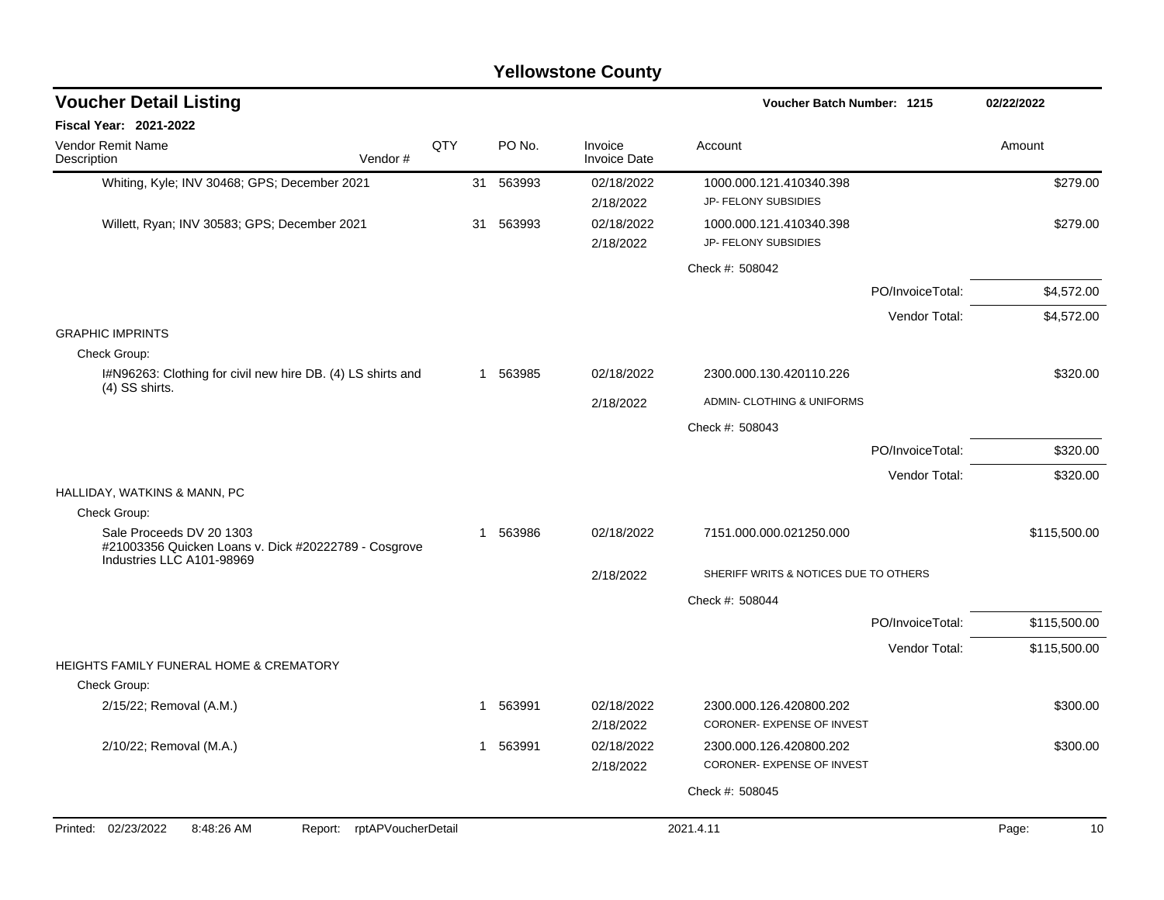| <b>Voucher Detail Listing</b>                                                                                 |            |   | Voucher Batch Number: 1215 |                                | 02/22/2022                                            |                  |              |
|---------------------------------------------------------------------------------------------------------------|------------|---|----------------------------|--------------------------------|-------------------------------------------------------|------------------|--------------|
| Fiscal Year: 2021-2022                                                                                        |            |   |                            |                                |                                                       |                  |              |
| <b>Vendor Remit Name</b><br>Vendor#<br>Description                                                            | <b>QTY</b> |   | PO No.                     | Invoice<br><b>Invoice Date</b> | Account                                               |                  | Amount       |
| Whiting, Kyle; INV 30468; GPS; December 2021                                                                  |            |   | 31 563993                  | 02/18/2022                     | 1000.000.121.410340.398                               |                  | \$279.00     |
|                                                                                                               |            |   |                            | 2/18/2022                      | JP- FELONY SUBSIDIES                                  |                  |              |
| Willett, Ryan; INV 30583; GPS; December 2021                                                                  |            |   | 31 563993                  | 02/18/2022                     | 1000.000.121.410340.398                               |                  | \$279.00     |
|                                                                                                               |            |   |                            | 2/18/2022                      | JP- FELONY SUBSIDIES                                  |                  |              |
|                                                                                                               |            |   |                            |                                | Check #: 508042                                       |                  |              |
|                                                                                                               |            |   |                            |                                |                                                       | PO/InvoiceTotal: | \$4,572.00   |
|                                                                                                               |            |   |                            |                                |                                                       | Vendor Total:    | \$4,572.00   |
| <b>GRAPHIC IMPRINTS</b>                                                                                       |            |   |                            |                                |                                                       |                  |              |
| Check Group:                                                                                                  |            |   |                            |                                |                                                       |                  |              |
| I#N96263: Clothing for civil new hire DB. (4) LS shirts and<br>(4) SS shirts.                                 |            |   | 1 563985                   | 02/18/2022                     | 2300.000.130.420110.226                               |                  | \$320.00     |
|                                                                                                               |            |   |                            | 2/18/2022                      | ADMIN- CLOTHING & UNIFORMS                            |                  |              |
|                                                                                                               |            |   |                            |                                | Check #: 508043                                       |                  |              |
|                                                                                                               |            |   |                            |                                |                                                       | PO/InvoiceTotal: | \$320.00     |
|                                                                                                               |            |   |                            |                                |                                                       | Vendor Total:    | \$320.00     |
| HALLIDAY, WATKINS & MANN, PC                                                                                  |            |   |                            |                                |                                                       |                  |              |
| Check Group:                                                                                                  |            |   |                            |                                |                                                       |                  |              |
| Sale Proceeds DV 20 1303<br>#21003356 Quicken Loans v. Dick #20222789 - Cosgrove<br>Industries LLC A101-98969 |            | 1 | 563986                     | 02/18/2022                     | 7151.000.000.021250.000                               |                  | \$115,500.00 |
|                                                                                                               |            |   |                            | 2/18/2022                      | SHERIFF WRITS & NOTICES DUE TO OTHERS                 |                  |              |
|                                                                                                               |            |   |                            |                                | Check #: 508044                                       |                  |              |
|                                                                                                               |            |   |                            |                                |                                                       | PO/InvoiceTotal: | \$115,500.00 |
|                                                                                                               |            |   |                            |                                |                                                       | Vendor Total:    | \$115,500.00 |
| <b>HEIGHTS FAMILY FUNERAL HOME &amp; CREMATORY</b>                                                            |            |   |                            |                                |                                                       |                  |              |
| Check Group:                                                                                                  |            |   |                            |                                |                                                       |                  |              |
| 2/15/22; Removal (A.M.)                                                                                       |            |   | 1 563991                   | 02/18/2022<br>2/18/2022        | 2300.000.126.420800.202<br>CORONER- EXPENSE OF INVEST |                  | \$300.00     |
| 2/10/22; Removal (M.A.)                                                                                       |            |   | 1 563991                   | 02/18/2022                     | 2300.000.126.420800.202                               |                  | \$300.00     |
|                                                                                                               |            |   |                            | 2/18/2022                      | CORONER- EXPENSE OF INVEST                            |                  |              |
|                                                                                                               |            |   |                            |                                | Check #: 508045                                       |                  |              |
|                                                                                                               |            |   |                            |                                |                                                       |                  |              |
| rptAPVoucherDetail<br>Printed: 02/23/2022<br>8:48:26 AM<br>Report:                                            |            |   |                            |                                | 2021.4.11                                             |                  | Page:<br>10  |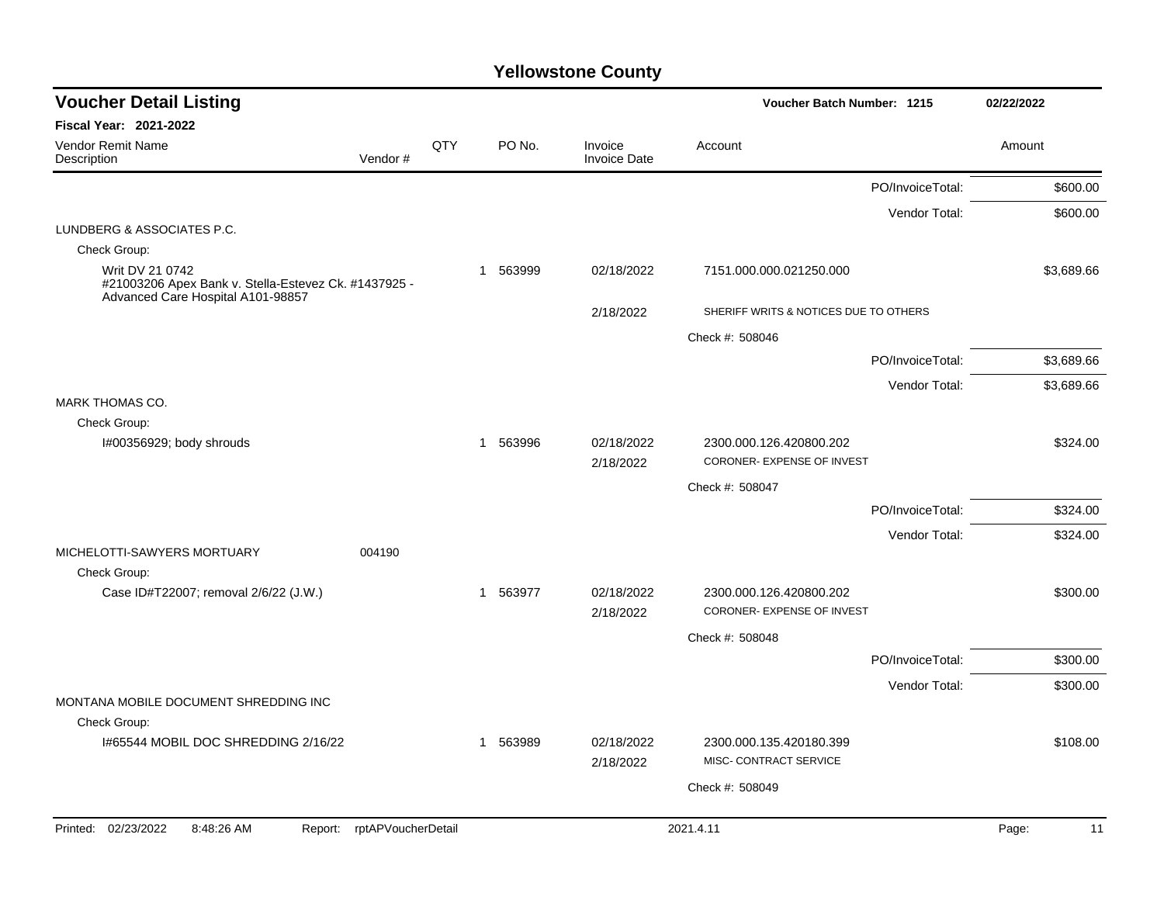| <b>Voucher Detail Listing</b>                                                             |         |     |              |                                | Voucher Batch Number: 1215            |                  | 02/22/2022  |
|-------------------------------------------------------------------------------------------|---------|-----|--------------|--------------------------------|---------------------------------------|------------------|-------------|
| <b>Fiscal Year: 2021-2022</b>                                                             |         |     |              |                                |                                       |                  |             |
| Vendor Remit Name<br>Description                                                          | Vendor# | QTY | PO No.       | Invoice<br><b>Invoice Date</b> | Account                               |                  | Amount      |
|                                                                                           |         |     |              |                                |                                       | PO/InvoiceTotal: | \$600.00    |
|                                                                                           |         |     |              |                                |                                       | Vendor Total:    | \$600.00    |
| LUNDBERG & ASSOCIATES P.C.<br>Check Group:                                                |         |     |              |                                |                                       |                  |             |
| Writ DV 21 0742                                                                           |         |     | 563999<br>-1 | 02/18/2022                     | 7151.000.000.021250.000               |                  | \$3,689.66  |
| #21003206 Apex Bank v. Stella-Estevez Ck. #1437925 -<br>Advanced Care Hospital A101-98857 |         |     |              |                                |                                       |                  |             |
|                                                                                           |         |     |              | 2/18/2022                      | SHERIFF WRITS & NOTICES DUE TO OTHERS |                  |             |
|                                                                                           |         |     |              |                                | Check #: 508046                       |                  |             |
|                                                                                           |         |     |              |                                |                                       | PO/InvoiceTotal: | \$3,689.66  |
|                                                                                           |         |     |              |                                |                                       | Vendor Total:    | \$3,689.66  |
| <b>MARK THOMAS CO.</b><br>Check Group:                                                    |         |     |              |                                |                                       |                  |             |
| I#00356929; body shrouds                                                                  |         |     | 1 563996     | 02/18/2022                     | 2300.000.126.420800.202               |                  | \$324.00    |
|                                                                                           |         |     |              | 2/18/2022                      | CORONER- EXPENSE OF INVEST            |                  |             |
|                                                                                           |         |     |              |                                | Check #: 508047                       |                  |             |
|                                                                                           |         |     |              |                                |                                       | PO/InvoiceTotal: | \$324.00    |
|                                                                                           |         |     |              |                                |                                       | Vendor Total:    | \$324.00    |
| MICHELOTTI-SAWYERS MORTUARY<br>004190                                                     |         |     |              |                                |                                       |                  |             |
| Check Group:<br>Case ID#T22007; removal 2/6/22 (J.W.)                                     |         |     | 1 563977     | 02/18/2022                     | 2300.000.126.420800.202               |                  | \$300.00    |
|                                                                                           |         |     |              | 2/18/2022                      | CORONER- EXPENSE OF INVEST            |                  |             |
|                                                                                           |         |     |              |                                | Check #: 508048                       |                  |             |
|                                                                                           |         |     |              |                                |                                       | PO/InvoiceTotal: | \$300.00    |
|                                                                                           |         |     |              |                                |                                       | Vendor Total:    | \$300.00    |
| MONTANA MOBILE DOCUMENT SHREDDING INC                                                     |         |     |              |                                |                                       |                  |             |
| Check Group:<br>1#65544 MOBIL DOC SHREDDING 2/16/22                                       |         |     | 563989<br>1  | 02/18/2022                     | 2300.000.135.420180.399               |                  | \$108.00    |
|                                                                                           |         |     |              | 2/18/2022                      | MISC- CONTRACT SERVICE                |                  |             |
|                                                                                           |         |     |              |                                | Check #: 508049                       |                  |             |
|                                                                                           |         |     |              |                                |                                       |                  |             |
| Printed: 02/23/2022<br>8:48:26 AM<br>Report: rptAPVoucherDetail                           |         |     |              |                                | 2021.4.11                             |                  | Page:<br>11 |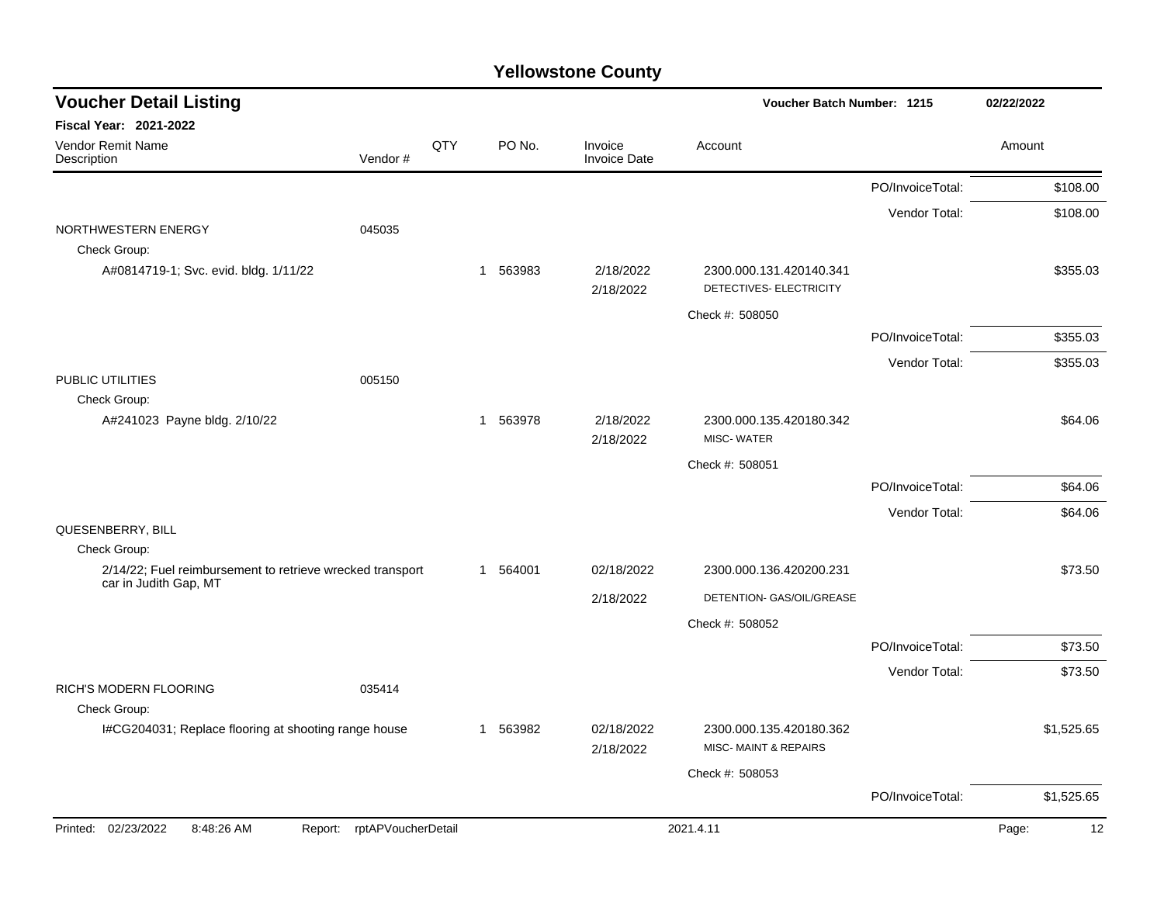| <b>Voucher Detail Listing</b>                             |                            |     |             |                                | Voucher Batch Number: 1215                         |                  | 02/22/2022  |
|-----------------------------------------------------------|----------------------------|-----|-------------|--------------------------------|----------------------------------------------------|------------------|-------------|
| <b>Fiscal Year: 2021-2022</b>                             |                            |     |             |                                |                                                    |                  |             |
| Vendor Remit Name<br>Description                          | Vendor#                    | QTY | PO No.      | Invoice<br><b>Invoice Date</b> | Account                                            |                  | Amount      |
|                                                           |                            |     |             |                                |                                                    | PO/InvoiceTotal: | \$108.00    |
|                                                           |                            |     |             |                                |                                                    | Vendor Total:    | \$108.00    |
| NORTHWESTERN ENERGY<br>Check Group:                       | 045035                     |     |             |                                |                                                    |                  |             |
| A#0814719-1; Svc. evid. bldg. 1/11/22                     |                            |     | 563983<br>1 | 2/18/2022<br>2/18/2022         | 2300.000.131.420140.341<br>DETECTIVES- ELECTRICITY |                  | \$355.03    |
|                                                           |                            |     |             |                                | Check #: 508050                                    |                  |             |
|                                                           |                            |     |             |                                |                                                    | PO/InvoiceTotal: | \$355.03    |
|                                                           |                            |     |             |                                |                                                    | Vendor Total:    | \$355.03    |
| PUBLIC UTILITIES<br>Check Group:                          | 005150                     |     |             |                                |                                                    |                  |             |
| A#241023 Payne bldg. 2/10/22                              |                            |     | 1 563978    | 2/18/2022<br>2/18/2022         | 2300.000.135.420180.342<br><b>MISC-WATER</b>       |                  | \$64.06     |
|                                                           |                            |     |             |                                | Check #: 508051                                    |                  |             |
|                                                           |                            |     |             |                                |                                                    | PO/InvoiceTotal: | \$64.06     |
|                                                           |                            |     |             |                                |                                                    | Vendor Total:    | \$64.06     |
| QUESENBERRY, BILL<br>Check Group:                         |                            |     |             |                                |                                                    |                  |             |
| 2/14/22; Fuel reimbursement to retrieve wrecked transport |                            |     | 1 564001    | 02/18/2022                     | 2300.000.136.420200.231                            |                  | \$73.50     |
| car in Judith Gap, MT                                     |                            |     |             | 2/18/2022                      | DETENTION- GAS/OIL/GREASE                          |                  |             |
|                                                           |                            |     |             |                                | Check #: 508052                                    |                  |             |
|                                                           |                            |     |             |                                |                                                    | PO/InvoiceTotal: | \$73.50     |
|                                                           |                            |     |             |                                |                                                    | Vendor Total:    | \$73.50     |
| RICH'S MODERN FLOORING<br>Check Group:                    | 035414                     |     |             |                                |                                                    |                  |             |
| I#CG204031; Replace flooring at shooting range house      |                            |     | 1 563982    | 02/18/2022<br>2/18/2022        | 2300.000.135.420180.362<br>MISC-MAINT & REPAIRS    |                  | \$1,525.65  |
|                                                           |                            |     |             |                                | Check #: 508053                                    |                  |             |
|                                                           |                            |     |             |                                |                                                    | PO/InvoiceTotal: | \$1,525.65  |
| Printed: 02/23/2022<br>8:48:26 AM                         | Report: rptAPVoucherDetail |     |             |                                | 2021.4.11                                          |                  | 12<br>Page: |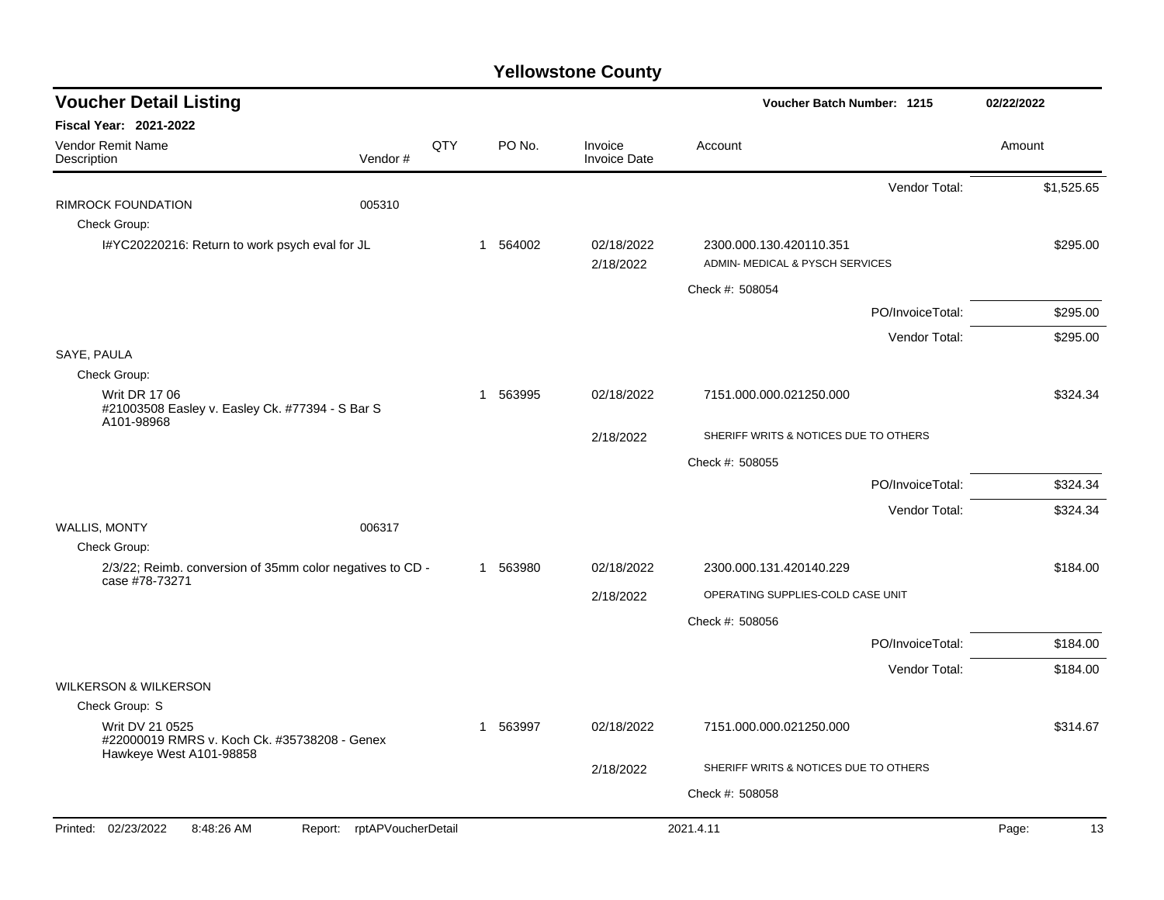| <b>Fiscal Year: 2021-2022</b>                                                                                                                       |            |
|-----------------------------------------------------------------------------------------------------------------------------------------------------|------------|
|                                                                                                                                                     |            |
| <b>Vendor Remit Name</b><br>QTY<br>PO No.<br>Invoice<br>Account<br>Amount<br>Vendor#<br><b>Invoice Date</b><br>Description                          |            |
| Vendor Total:                                                                                                                                       | \$1,525.65 |
| 005310<br>RIMROCK FOUNDATION                                                                                                                        |            |
| Check Group:                                                                                                                                        |            |
| I#YC20220216: Return to work psych eval for JL<br>1 564002<br>02/18/2022<br>2300.000.130.420110.351<br>ADMIN- MEDICAL & PYSCH SERVICES<br>2/18/2022 | \$295.00   |
| Check #: 508054                                                                                                                                     |            |
| PO/InvoiceTotal:                                                                                                                                    | \$295.00   |
| Vendor Total:                                                                                                                                       | \$295.00   |
| SAYE, PAULA                                                                                                                                         |            |
| Check Group:                                                                                                                                        |            |
| <b>Writ DR 17 06</b><br>563995<br>02/18/2022<br>7151.000.000.021250.000<br>1<br>#21003508 Easley v. Easley Ck. #77394 - S Bar S                     | \$324.34   |
| A101-98968<br>SHERIFF WRITS & NOTICES DUE TO OTHERS<br>2/18/2022                                                                                    |            |
| Check #: 508055                                                                                                                                     |            |
| PO/InvoiceTotal:                                                                                                                                    | \$324.34   |
| Vendor Total:                                                                                                                                       | \$324.34   |
| <b>WALLIS, MONTY</b><br>006317                                                                                                                      |            |
| Check Group:                                                                                                                                        |            |
| 2/3/22; Reimb. conversion of 35mm color negatives to CD -<br>1 563980<br>02/18/2022<br>2300.000.131.420140.229<br>case #78-73271                    | \$184.00   |
| OPERATING SUPPLIES-COLD CASE UNIT<br>2/18/2022                                                                                                      |            |
| Check #: 508056                                                                                                                                     |            |
| PO/InvoiceTotal:                                                                                                                                    | \$184.00   |
| Vendor Total:                                                                                                                                       | \$184.00   |
| <b>WILKERSON &amp; WILKERSON</b>                                                                                                                    |            |
| Check Group: S                                                                                                                                      |            |
| Writ DV 21 0525<br>563997<br>02/18/2022<br>7151.000.000.021250.000<br>1<br>#22000019 RMRS v. Koch Ck. #35738208 - Genex<br>Hawkeye West A101-98858  | \$314.67   |
| SHERIFF WRITS & NOTICES DUE TO OTHERS<br>2/18/2022                                                                                                  |            |
| Check #: 508058                                                                                                                                     |            |
| Printed: 02/23/2022<br>8:48:26 AM<br>rptAPVoucherDetail<br>2021.4.11<br>Page:<br>Report:                                                            | 13         |